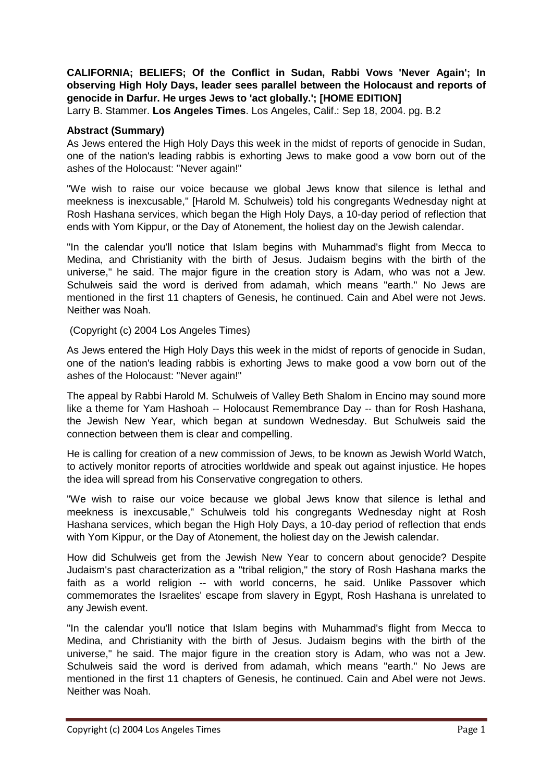**CALIFORNIA; BELIEFS; Of the Conflict in Sudan, Rabbi Vows 'Never Again'; In observing High Holy Days, leader sees parallel between the Holocaust and reports of genocide in Darfur. He urges Jews to 'act globally.'; [HOME EDITION]**

Larry B. Stammer. **Los Angeles Times**. Los Angeles, Calif.: Sep 18, 2004. pg. B.2

## **Abstract (Summary)**

As Jews entered the High Holy Days this week in the midst of reports of genocide in Sudan, one of the nation's leading rabbis is exhorting Jews to make good a vow born out of the ashes of the Holocaust: "Never again!"

"We wish to raise our voice because we global Jews know that silence is lethal and meekness is inexcusable," [Harold M. Schulweis) told his congregants Wednesday night at Rosh Hashana services, which began the High Holy Days, a 10-day period of reflection that ends with Yom Kippur, or the Day of Atonement, the holiest day on the Jewish calendar.

"In the calendar you'll notice that Islam begins with Muhammad's flight from Mecca to Medina, and Christianity with the birth of Jesus. Judaism begins with the birth of the universe," he said. The major figure in the creation story is Adam, who was not a Jew. Schulweis said the word is derived from adamah, which means "earth." No Jews are mentioned in the first 11 chapters of Genesis, he continued. Cain and Abel were not Jews. Neither was Noah.

(Copyright (c) 2004 Los Angeles Times)

As Jews entered the High Holy Days this week in the midst of reports of genocide in Sudan, one of the nation's leading rabbis is exhorting Jews to make good a vow born out of the ashes of the Holocaust: "Never again!"

The appeal by Rabbi Harold M. Schulweis of Valley Beth Shalom in Encino may sound more like a theme for Yam Hashoah -- Holocaust Remembrance Day -- than for Rosh Hashana, the Jewish New Year, which began at sundown Wednesday. But Schulweis said the connection between them is clear and compelling.

He is calling for creation of a new commission of Jews, to be known as Jewish World Watch, to actively monitor reports of atrocities worldwide and speak out against injustice. He hopes the idea will spread from his Conservative congregation to others.

"We wish to raise our voice because we global Jews know that silence is lethal and meekness is inexcusable," Schulweis told his congregants Wednesday night at Rosh Hashana services, which began the High Holy Days, a 10-day period of reflection that ends with Yom Kippur, or the Day of Atonement, the holiest day on the Jewish calendar.

How did Schulweis get from the Jewish New Year to concern about genocide? Despite Judaism's past characterization as a "tribal religion," the story of Rosh Hashana marks the faith as a world religion -- with world concerns, he said. Unlike Passover which commemorates the Israelites' escape from slavery in Egypt, Rosh Hashana is unrelated to any Jewish event.

"In the calendar you'll notice that Islam begins with Muhammad's flight from Mecca to Medina, and Christianity with the birth of Jesus. Judaism begins with the birth of the universe," he said. The major figure in the creation story is Adam, who was not a Jew. Schulweis said the word is derived from adamah, which means "earth." No Jews are mentioned in the first 11 chapters of Genesis, he continued. Cain and Abel were not Jews. Neither was Noah.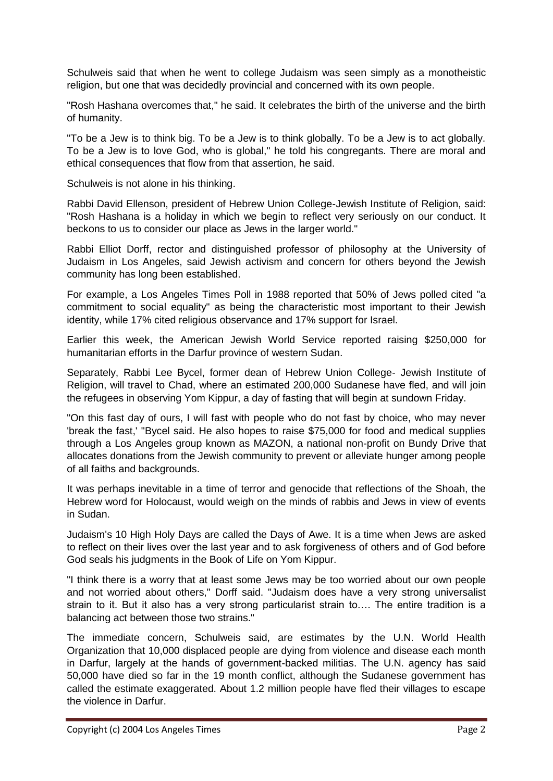Schulweis said that when he went to college Judaism was seen simply as a monotheistic religion, but one that was decidedly provincial and concerned with its own people.

"Rosh Hashana overcomes that," he said. It celebrates the birth of the universe and the birth of humanity.

"To be a Jew is to think big. To be a Jew is to think globally. To be a Jew is to act globally. To be a Jew is to love God, who is global," he told his congregants. There are moral and ethical consequences that flow from that assertion, he said.

Schulweis is not alone in his thinking.

Rabbi David Ellenson, president of Hebrew Union College-Jewish Institute of Religion, said: "Rosh Hashana is a holiday in which we begin to reflect very seriously on our conduct. It beckons to us to consider our place as Jews in the larger world."

Rabbi Elliot Dorff, rector and distinguished professor of philosophy at the University of Judaism in Los Angeles, said Jewish activism and concern for others beyond the Jewish community has long been established.

For example, a Los Angeles Times Poll in 1988 reported that 50% of Jews polled cited "a commitment to social equality" as being the characteristic most important to their Jewish identity, while 17% cited religious observance and 17% support for Israel.

Earlier this week, the American Jewish World Service reported raising \$250,000 for humanitarian efforts in the Darfur province of western Sudan.

Separately, Rabbi Lee Bycel, former dean of Hebrew Union College- Jewish Institute of Religion, will travel to Chad, where an estimated 200,000 Sudanese have fled, and will join the refugees in observing Yom Kippur, a day of fasting that will begin at sundown Friday.

"On this fast day of ours, I will fast with people who do not fast by choice, who may never 'break the fast,' "Bycel said. He also hopes to raise \$75,000 for food and medical supplies through a Los Angeles group known as MAZON, a national non-profit on Bundy Drive that allocates donations from the Jewish community to prevent or alleviate hunger among people of all faiths and backgrounds.

It was perhaps inevitable in a time of terror and genocide that reflections of the Shoah, the Hebrew word for Holocaust, would weigh on the minds of rabbis and Jews in view of events in Sudan.

Judaism's 10 High Holy Days are called the Days of Awe. It is a time when Jews are asked to reflect on their lives over the last year and to ask forgiveness of others and of God before God seals his judgments in the Book of Life on Yom Kippur.

"I think there is a worry that at least some Jews may be too worried about our own people and not worried about others," Dorff said. "Judaism does have a very strong universalist strain to it. But it also has a very strong particularist strain to…. The entire tradition is a balancing act between those two strains."

The immediate concern, Schulweis said, are estimates by the U.N. World Health Organization that 10,000 displaced people are dying from violence and disease each month in Darfur, largely at the hands of government-backed militias. The U.N. agency has said 50,000 have died so far in the 19 month conflict, although the Sudanese government has called the estimate exaggerated. About 1.2 million people have fled their villages to escape the violence in Darfur.